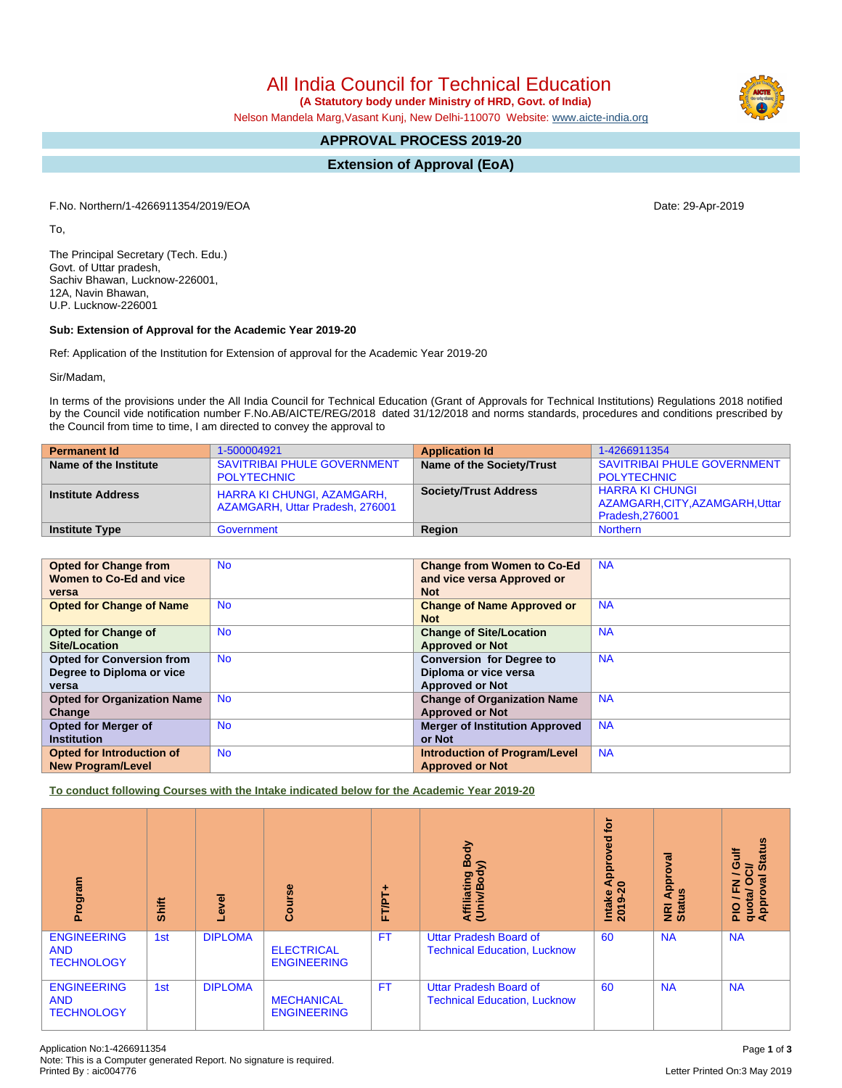All India Council for Technical Education

 **(A Statutory body under Ministry of HRD, Govt. of India)**

Nelson Mandela Marg,Vasant Kunj, New Delhi-110070 Website: [www.aicte-india.org](http://www.aicte-india.org)

# **APPROVAL PROCESS 2019-20**

**Extension of Approval (EoA)**

F.No. Northern/1-4266911354/2019/EOA Date: 29-Apr-2019

To,

The Principal Secretary (Tech. Edu.) Govt. of Uttar pradesh, Sachiv Bhawan, Lucknow-226001, 12A, Navin Bhawan, U.P. Lucknow-226001

#### **Sub: Extension of Approval for the Academic Year 2019-20**

Ref: Application of the Institution for Extension of approval for the Academic Year 2019-20

Sir/Madam,

In terms of the provisions under the All India Council for Technical Education (Grant of Approvals for Technical Institutions) Regulations 2018 notified by the Council vide notification number F.No.AB/AICTE/REG/2018 dated 31/12/2018 and norms standards, procedures and conditions prescribed by the Council from time to time, I am directed to convey the approval to

| <b>Permanent Id</b>      | 1-500004921                                                          | <b>Application Id</b>        | 1-4266911354                                                                  |
|--------------------------|----------------------------------------------------------------------|------------------------------|-------------------------------------------------------------------------------|
| Name of the Institute    | <b>SAVITRIBAI PHULE GOVERNMENT</b>                                   | Name of the Society/Trust    | SAVITRIBAI PHULE GOVERNMENT                                                   |
|                          | <b>POLYTECHNIC</b>                                                   |                              | <b>POLYTECHNIC</b>                                                            |
| <b>Institute Address</b> | <b>HARRA KI CHUNGI, AZAMGARH,</b><br>AZAMGARH, Uttar Pradesh, 276001 | <b>Society/Trust Address</b> | <b>HARRA KI CHUNGI</b><br>AZAMGARH, CITY, AZAMGARH, Uttar  <br>Pradesh.276001 |
| <b>Institute Type</b>    | Government                                                           | Region                       | <b>Northern</b>                                                               |

| <b>Opted for Change from</b>       | <b>No</b> | <b>Change from Women to Co-Ed</b>     | <b>NA</b> |
|------------------------------------|-----------|---------------------------------------|-----------|
| Women to Co-Ed and vice            |           | and vice versa Approved or            |           |
| versa                              |           | <b>Not</b>                            |           |
| <b>Opted for Change of Name</b>    | <b>No</b> | <b>Change of Name Approved or</b>     | <b>NA</b> |
|                                    |           | <b>Not</b>                            |           |
| <b>Opted for Change of</b>         | <b>No</b> | <b>Change of Site/Location</b>        | <b>NA</b> |
| Site/Location                      |           | <b>Approved or Not</b>                |           |
| <b>Opted for Conversion from</b>   | <b>No</b> | <b>Conversion for Degree to</b>       | <b>NA</b> |
| Degree to Diploma or vice          |           | Diploma or vice versa                 |           |
| versa                              |           | <b>Approved or Not</b>                |           |
| <b>Opted for Organization Name</b> | <b>No</b> | <b>Change of Organization Name</b>    | <b>NA</b> |
| Change                             |           | <b>Approved or Not</b>                |           |
| <b>Opted for Merger of</b>         | <b>No</b> | <b>Merger of Institution Approved</b> | <b>NA</b> |
| <b>Institution</b>                 |           | or Not                                |           |
| Opted for Introduction of          | <b>No</b> | <b>Introduction of Program/Level</b>  | <b>NA</b> |
| <b>New Program/Level</b>           |           | <b>Approved or Not</b>                |           |

**To conduct following Courses with the Intake indicated below for the Academic Year 2019-20**

| Program                                               | Shift | Level          | Course                                  | FT/PT+    | Body<br>⋦<br>Affiliating<br>(Univ/Body                               | tor<br>yed<br>ē<br>Appr<br>$\circ$<br>Intake<br>2019-2 | ζā<br>ē<br>Appr<br>9ù<br>NRI<br>Statu | <b>Status</b><br>/ Gulf<br>$\vec{c}$<br>g<br>O<br>준<br>quota/<br>Approv<br>∽<br>$\frac{1}{2}$ |
|-------------------------------------------------------|-------|----------------|-----------------------------------------|-----------|----------------------------------------------------------------------|--------------------------------------------------------|---------------------------------------|-----------------------------------------------------------------------------------------------|
| <b>ENGINEERING</b><br><b>AND</b><br><b>TECHNOLOGY</b> | 1st   | <b>DIPLOMA</b> | <b>ELECTRICAL</b><br><b>ENGINEERING</b> | <b>FT</b> | <b>Uttar Pradesh Board of</b><br><b>Technical Education, Lucknow</b> | 60                                                     | <b>NA</b>                             | <b>NA</b>                                                                                     |
| <b>ENGINEERING</b><br><b>AND</b><br><b>TECHNOLOGY</b> | 1st   | <b>DIPLOMA</b> | <b>MECHANICAL</b><br><b>ENGINEERING</b> | <b>FT</b> | <b>Uttar Pradesh Board of</b><br><b>Technical Education, Lucknow</b> | 60                                                     | <b>NA</b>                             | <b>NA</b>                                                                                     |

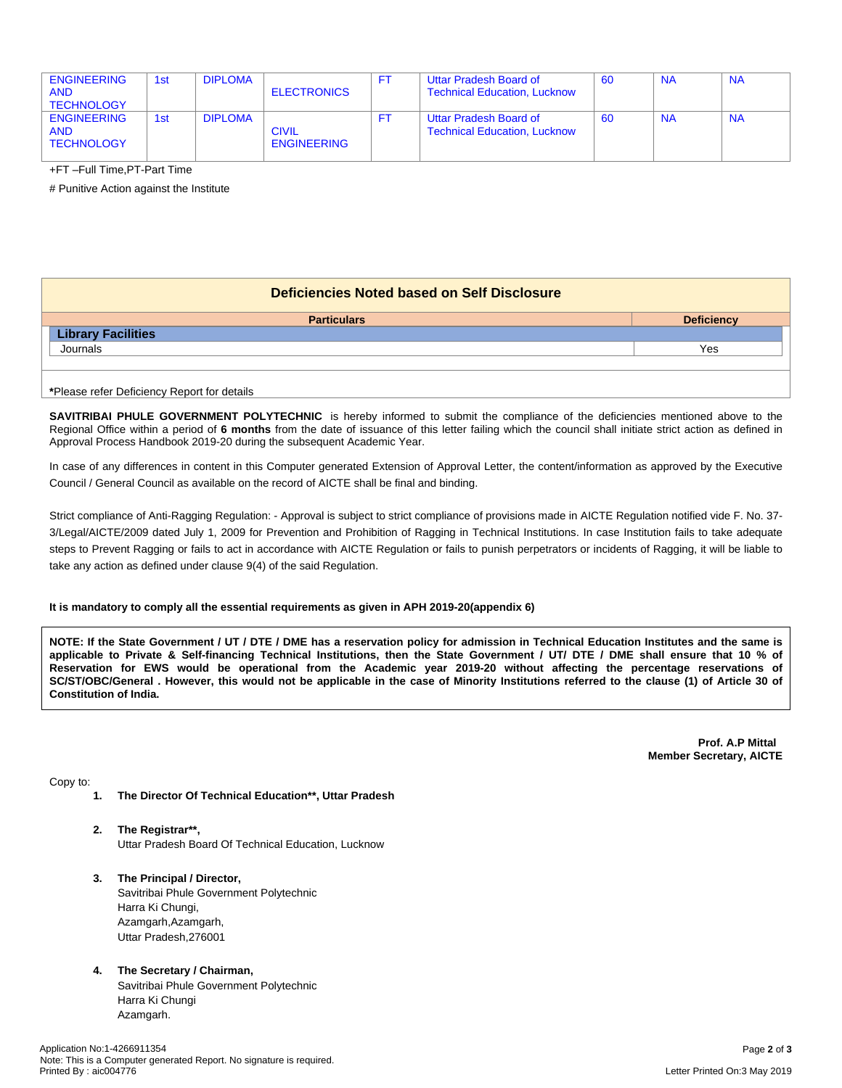| <b>ENGINEERING</b><br><b>AND</b><br><b>TECHNOLOGY</b> | 1st | <b>DIPLOMA</b> | <b>ELECTRONICS</b>                 |    | Uttar Pradesh Board of<br><b>Technical Education, Lucknow</b> | -60 | <b>NA</b> | <b>NA</b> |
|-------------------------------------------------------|-----|----------------|------------------------------------|----|---------------------------------------------------------------|-----|-----------|-----------|
| <b>ENGINEERING</b><br><b>AND</b><br><b>TECHNOLOGY</b> | 1st | <b>DIPLOMA</b> | <b>CIVIL</b><br><b>ENGINEERING</b> | FI | Uttar Pradesh Board of<br><b>Technical Education, Lucknow</b> | -60 | <b>NA</b> | <b>NA</b> |

+FT –Full Time,PT-Part Time

# Punitive Action against the Institute

| Deficiencies Noted based on Self Disclosure |                   |  |  |  |  |  |
|---------------------------------------------|-------------------|--|--|--|--|--|
| <b>Particulars</b>                          | <b>Deficiency</b> |  |  |  |  |  |
| <b>Library Facilities</b>                   |                   |  |  |  |  |  |
| Journals                                    | Yes               |  |  |  |  |  |
|                                             |                   |  |  |  |  |  |
| *Please refer Deficiency Report for details |                   |  |  |  |  |  |

**SAVITRIBAI PHULE GOVERNMENT POLYTECHNIC** is hereby informed to submit the compliance of the deficiencies mentioned above to the Regional Office within a period of **6 months** from the date of issuance of this letter failing which the council shall initiate strict action as defined in Approval Process Handbook 2019-20 during the subsequent Academic Year.

In case of any differences in content in this Computer generated Extension of Approval Letter, the content/information as approved by the Executive Council / General Council as available on the record of AICTE shall be final and binding.

Strict compliance of Anti-Ragging Regulation: - Approval is subject to strict compliance of provisions made in AICTE Regulation notified vide F. No. 37- 3/Legal/AICTE/2009 dated July 1, 2009 for Prevention and Prohibition of Ragging in Technical Institutions. In case Institution fails to take adequate steps to Prevent Ragging or fails to act in accordance with AICTE Regulation or fails to punish perpetrators or incidents of Ragging, it will be liable to take any action as defined under clause 9(4) of the said Regulation.

### **It is mandatory to comply all the essential requirements as given in APH 2019-20(appendix 6)**

NOTE: If the State Government / UT / DTE / DME has a reservation policy for admission in Technical Education Institutes and the same is applicable to Private & Self-financing Technical Institutions, then the State Government / UT/ DTE / DME shall ensure that 10 % of Reservation for EWS would be operational from the Academic year 2019-20 without affecting the percentage reservations of SC/ST/OBC/General . However, this would not be applicable in the case of Minority Institutions referred to the clause (1) of Article 30 of **Constitution of India.**

> **Prof. A.P Mittal Member Secretary, AICTE**

Copy to:

- **1. The Director Of Technical Education\*\*, Uttar Pradesh**
- **2. The Registrar\*\*,** Uttar Pradesh Board Of Technical Education, Lucknow
- **3. The Principal / Director,** Savitribai Phule Government Polytechnic Harra Ki Chungi, Azamgarh,Azamgarh, Uttar Pradesh,276001
- **4. The Secretary / Chairman,**

Savitribai Phule Government Polytechnic Harra Ki Chungi Azamgarh.